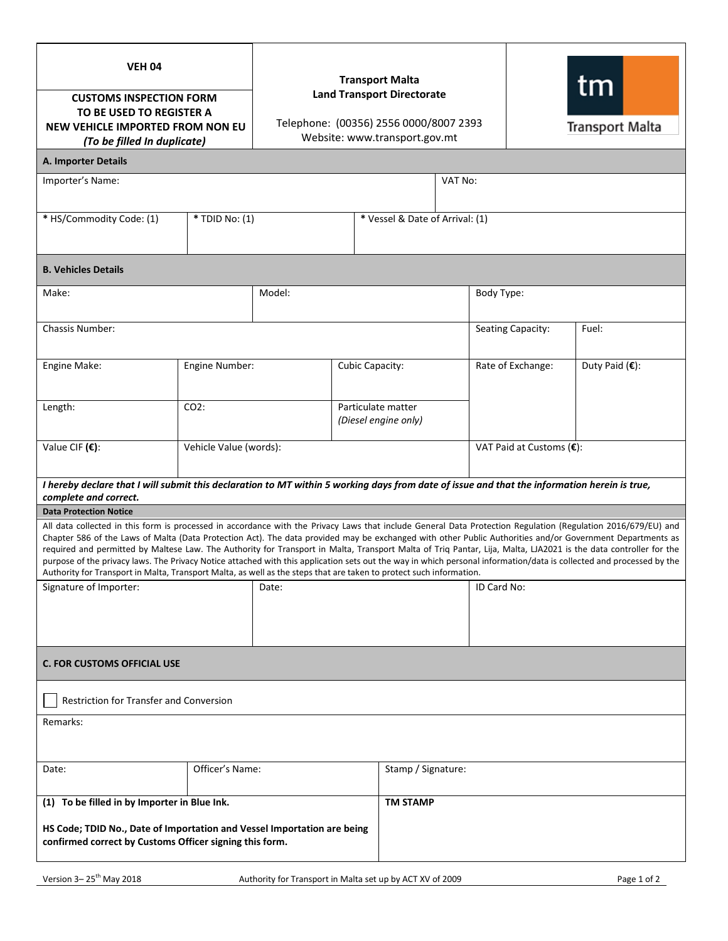| <b>VEH 04</b><br><b>CUSTOMS INSPECTION FORM</b><br>TO BE USED TO REGISTER A<br>NEW VEHICLE IMPORTED FROM NON EU<br>(To be filled In duplicate)                                                                                                                                                                                                                                                                                                                                                                                                                                                                                                                                                                                                                                                |                | <b>Transport Malta</b><br><b>Land Transport Directorate</b><br>Telephone: (00356) 2556 0000/8007 2393<br>Website: www.transport.gov.mt |                                            |                                 |                   |                          | tm<br>Transport Malta |  |
|-----------------------------------------------------------------------------------------------------------------------------------------------------------------------------------------------------------------------------------------------------------------------------------------------------------------------------------------------------------------------------------------------------------------------------------------------------------------------------------------------------------------------------------------------------------------------------------------------------------------------------------------------------------------------------------------------------------------------------------------------------------------------------------------------|----------------|----------------------------------------------------------------------------------------------------------------------------------------|--------------------------------------------|---------------------------------|-------------------|--------------------------|-----------------------|--|
| A. Importer Details                                                                                                                                                                                                                                                                                                                                                                                                                                                                                                                                                                                                                                                                                                                                                                           |                |                                                                                                                                        |                                            |                                 |                   |                          |                       |  |
| Importer's Name:                                                                                                                                                                                                                                                                                                                                                                                                                                                                                                                                                                                                                                                                                                                                                                              |                |                                                                                                                                        |                                            | VAT No:                         |                   |                          |                       |  |
| * HS/Commodity Code: (1)                                                                                                                                                                                                                                                                                                                                                                                                                                                                                                                                                                                                                                                                                                                                                                      | * TDID No: (1) |                                                                                                                                        |                                            | * Vessel & Date of Arrival: (1) |                   |                          |                       |  |
| <b>B. Vehicles Details</b>                                                                                                                                                                                                                                                                                                                                                                                                                                                                                                                                                                                                                                                                                                                                                                    |                |                                                                                                                                        |                                            |                                 |                   |                          |                       |  |
| Make:                                                                                                                                                                                                                                                                                                                                                                                                                                                                                                                                                                                                                                                                                                                                                                                         | Model:         |                                                                                                                                        |                                            |                                 | Body Type:        |                          |                       |  |
| Chassis Number:                                                                                                                                                                                                                                                                                                                                                                                                                                                                                                                                                                                                                                                                                                                                                                               |                |                                                                                                                                        |                                            |                                 | Seating Capacity: | Fuel:                    |                       |  |
| Engine Make:                                                                                                                                                                                                                                                                                                                                                                                                                                                                                                                                                                                                                                                                                                                                                                                  | Engine Number: |                                                                                                                                        | Cubic Capacity:                            |                                 | Rate of Exchange: | Duty Paid $(\epsilon)$ : |                       |  |
| Length:                                                                                                                                                                                                                                                                                                                                                                                                                                                                                                                                                                                                                                                                                                                                                                                       | $CO2$ :        |                                                                                                                                        | Particulate matter<br>(Diesel engine only) |                                 |                   |                          |                       |  |
| Value CIF (€):<br>Vehicle Value (words):                                                                                                                                                                                                                                                                                                                                                                                                                                                                                                                                                                                                                                                                                                                                                      |                |                                                                                                                                        |                                            | VAT Paid at Customs (€):        |                   |                          |                       |  |
| I hereby declare that I will submit this declaration to MT within 5 working days from date of issue and that the information herein is true,                                                                                                                                                                                                                                                                                                                                                                                                                                                                                                                                                                                                                                                  |                |                                                                                                                                        |                                            |                                 |                   |                          |                       |  |
| complete and correct.<br><b>Data Protection Notice</b>                                                                                                                                                                                                                                                                                                                                                                                                                                                                                                                                                                                                                                                                                                                                        |                |                                                                                                                                        |                                            |                                 |                   |                          |                       |  |
| All data collected in this form is processed in accordance with the Privacy Laws that include General Data Protection Regulation (Regulation 2016/679/EU) and<br>Chapter 586 of the Laws of Malta (Data Protection Act). The data provided may be exchanged with other Public Authorities and/or Government Departments as<br>required and permitted by Maltese Law. The Authority for Transport in Malta, Transport Malta of Triq Pantar, Lija, Malta, LJA2021 is the data controller for the<br>purpose of the privacy laws. The Privacy Notice attached with this application sets out the way in which personal information/data is collected and processed by the<br>Authority for Transport in Malta, Transport Malta, as well as the steps that are taken to protect such information. |                |                                                                                                                                        |                                            |                                 |                   |                          |                       |  |
| Signature of Importer:                                                                                                                                                                                                                                                                                                                                                                                                                                                                                                                                                                                                                                                                                                                                                                        | Date:          |                                                                                                                                        |                                            |                                 | ID Card No:       |                          |                       |  |
|                                                                                                                                                                                                                                                                                                                                                                                                                                                                                                                                                                                                                                                                                                                                                                                               |                |                                                                                                                                        |                                            |                                 |                   |                          |                       |  |
| <b>C. FOR CUSTOMS OFFICIAL USE</b>                                                                                                                                                                                                                                                                                                                                                                                                                                                                                                                                                                                                                                                                                                                                                            |                |                                                                                                                                        |                                            |                                 |                   |                          |                       |  |
| <b>Restriction for Transfer and Conversion</b>                                                                                                                                                                                                                                                                                                                                                                                                                                                                                                                                                                                                                                                                                                                                                |                |                                                                                                                                        |                                            |                                 |                   |                          |                       |  |
| Remarks:                                                                                                                                                                                                                                                                                                                                                                                                                                                                                                                                                                                                                                                                                                                                                                                      |                |                                                                                                                                        |                                            |                                 |                   |                          |                       |  |
| Officer's Name:<br>Date:                                                                                                                                                                                                                                                                                                                                                                                                                                                                                                                                                                                                                                                                                                                                                                      |                |                                                                                                                                        | Stamp / Signature:                         |                                 |                   |                          |                       |  |
| (1) To be filled in by Importer in Blue Ink.                                                                                                                                                                                                                                                                                                                                                                                                                                                                                                                                                                                                                                                                                                                                                  |                |                                                                                                                                        |                                            |                                 | <b>TM STAMP</b>   |                          |                       |  |
| HS Code; TDID No., Date of Importation and Vessel Importation are being<br>confirmed correct by Customs Officer signing this form.                                                                                                                                                                                                                                                                                                                                                                                                                                                                                                                                                                                                                                                            |                |                                                                                                                                        |                                            |                                 |                   |                          |                       |  |